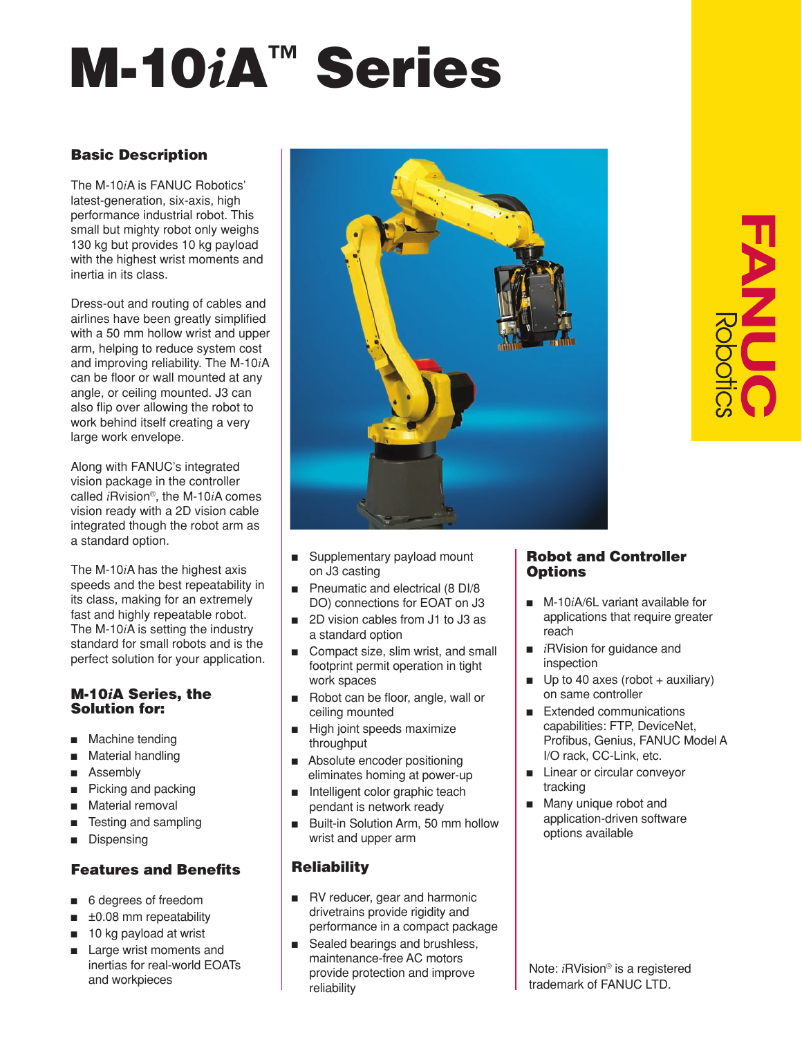# M-10*i*A™ Series

# Basic Description

The M-10*i*A is FANUC Robotics' latest-generation, six-axis, high performance industrial robot. This small but mighty robot only weighs 130 kg but provides 10 kg payload with the highest wrist moments and inertia in its class.

Dress-out and routing of cables and airlines have been greatly simplified with a 50 mm hollow wrist and upper arm, helping to reduce system cost and improving reliability. The M-10*i*A can be floor or wall mounted at any angle, or ceiling mounted. J3 can also flip over allowing the robot to work behind itself creating a very large work envelope.

Along with FANUC's integrated vision package in the controller called *i*Rvision®, the M-10*i*A comes vision ready with a 2D vision cable integrated though the robot arm as a standard option.

The M-10*i*A has the highest axis speeds and the best repeatability in its class, making for an extremely fast and highly repeatable robot. The M-10*i*A is setting the industry standard for small robots and is the perfect solution for your application.

# M-10*i*A Series, the Solution for:

- Machine tending
- Material handling
- Assembly
- $\blacksquare$  Picking and packing
- Material removal
- Testing and sampling
- Dispensing

# Features and Benefits

- 6 degrees of freedom
- $\blacksquare$   $\pm$ 0.08 mm repeatability
- 10 kg payload at wrist
- Large wrist moments and inertias for real-world EOATs and workpieces



- Supplementary payload mount on J3 casting
- $\blacksquare$  Pneumatic and electrical (8 DI/8 DO) connections for EOAT on J3
- 2D vision cables from J1 to J3 as a standard option
- Compact size, slim wrist, and small footprint permit operation in tight work spaces
- Robot can be floor, angle, wall or ceiling mounted
- $\blacksquare$  High joint speeds maximize throughput
- Absolute encoder positioning eliminates homing at power-up
- ntelligent color graphic teach pendant is network ready
- Built-in Solution Arm, 50 mm hollow wrist and upper arm

# **Reliability**

- RV reducer, gear and harmonic drivetrains provide rigidity and performance in a compact package
- Sealed bearings and brushless, maintenance-free AC motors provide protection and improve reliability

# Robot and Controller **Options**

- M-10*iA*/6L variant available for applications that require greater reach
- *i*RVision for guidance and inspection
- $\Box$  Up to 40 axes (robot + auxiliary) on same controller
- Extended communications capabilities: FTP, DeviceNet, Profibus, Genius, FANUC Model A I/O rack, CC-Link, etc.
- **n** Linear or circular conveyor tracking
- **n** Many unique robot and application-driven software options available

Note: *i*RVision® is a registered trademark of FANUC LTD.